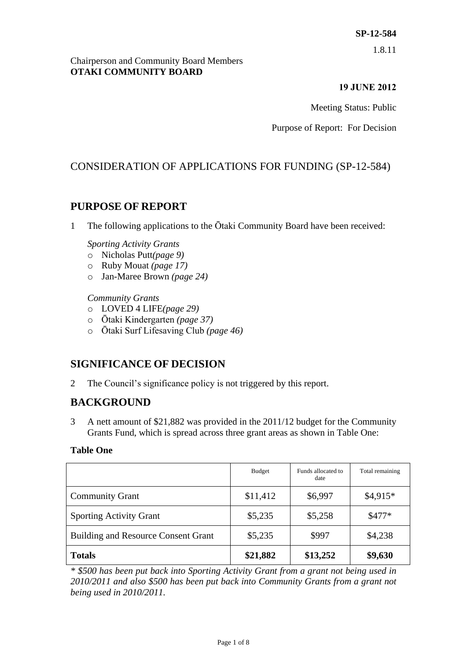1.8.11

#### Chairperson and Community Board Members **OTAKI COMMUNITY BOARD**

### **19 JUNE 2012**

Meeting Status: Public

Purpose of Report: For Decision

# CONSIDERATION OF APPLICATIONS FOR FUNDING (SP-12-584)

# **PURPOSE OF REPORT**

1 The following applications to the Ōtaki Community Board have been received:

#### *Sporting Activity Grants*

- o Nicholas Putt*(page 9)*
- o Ruby Mouat *(page 17)*
- o Jan-Maree Brown *(page 24)*

#### *Community Grants*

- o LOVED 4 LIFE*(page 29)*
- o Ōtaki Kindergarten *(page 37)*
- o Ōtaki Surf Lifesaving Club *(page 46)*

# **SIGNIFICANCE OF DECISION**

2 The Council's significance policy is not triggered by this report.

# **BACKGROUND**

3 A nett amount of \$21,882 was provided in the 2011/12 budget for the Community Grants Fund, which is spread across three grant areas as shown in Table One:

#### **Table One**

|                                            | <b>Budget</b> | Funds allocated to<br>date | Total remaining |
|--------------------------------------------|---------------|----------------------------|-----------------|
| <b>Community Grant</b>                     | \$11,412      | \$6,997                    | $$4,915*$       |
| <b>Sporting Activity Grant</b>             | \$5,235       | \$5,258                    | $$477*$         |
| <b>Building and Resource Consent Grant</b> | \$5,235       | \$997                      | \$4,238         |
| <b>Totals</b>                              | \$21,882      | \$13,252                   | \$9,630         |

*\* \$500 has been put back into Sporting Activity Grant from a grant not being used in 2010/2011 and also \$500 has been put back into Community Grants from a grant not being used in 2010/2011.*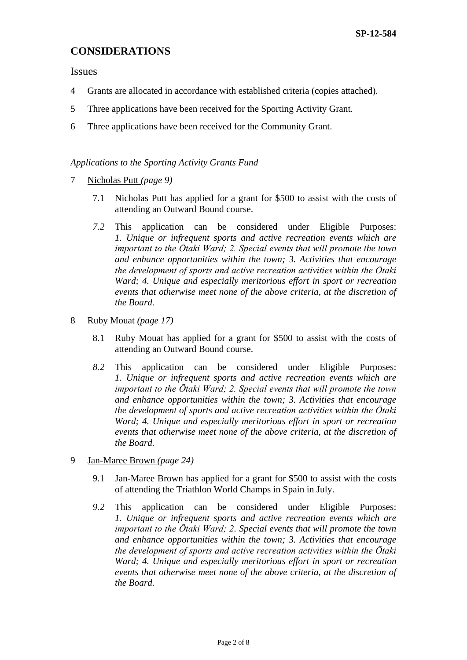## **CONSIDERATIONS**

Issues

- 4 Grants are allocated in accordance with established criteria (copies attached).
- 5 Three applications have been received for the Sporting Activity Grant.
- 6 Three applications have been received for the Community Grant.

#### *Applications to the Sporting Activity Grants Fund*

- 7 Nicholas Putt *(page 9)*
	- 7.1 Nicholas Putt has applied for a grant for \$500 to assist with the costs of attending an Outward Bound course.
	- *7.2* This application can be considered under Eligible Purposes: *1. Unique or infrequent sports and active recreation events which are important to the Ōtaki Ward; 2. Special events that will promote the town and enhance opportunities within the town; 3. Activities that encourage the development of sports and active recreation activities within the Ōtaki Ward; 4. Unique and especially meritorious effort in sport or recreation events that otherwise meet none of the above criteria, at the discretion of the Board.*
- 8 Ruby Mouat *(page 17)*
	- 8.1 Ruby Mouat has applied for a grant for \$500 to assist with the costs of attending an Outward Bound course.
	- *8.2* This application can be considered under Eligible Purposes: *1. Unique or infrequent sports and active recreation events which are important to the Ōtaki Ward; 2. Special events that will promote the town and enhance opportunities within the town; 3. Activities that encourage the development of sports and active recreation activities within the Ōtaki Ward; 4. Unique and especially meritorious effort in sport or recreation events that otherwise meet none of the above criteria, at the discretion of the Board.*
- 9 Jan-Maree Brown *(page 24)*
	- 9.1 Jan-Maree Brown has applied for a grant for \$500 to assist with the costs of attending the Triathlon World Champs in Spain in July.
	- *9.2* This application can be considered under Eligible Purposes: *1. Unique or infrequent sports and active recreation events which are important to the Ōtaki Ward; 2. Special events that will promote the town and enhance opportunities within the town; 3. Activities that encourage the development of sports and active recreation activities within the Ōtaki Ward; 4. Unique and especially meritorious effort in sport or recreation events that otherwise meet none of the above criteria, at the discretion of the Board.*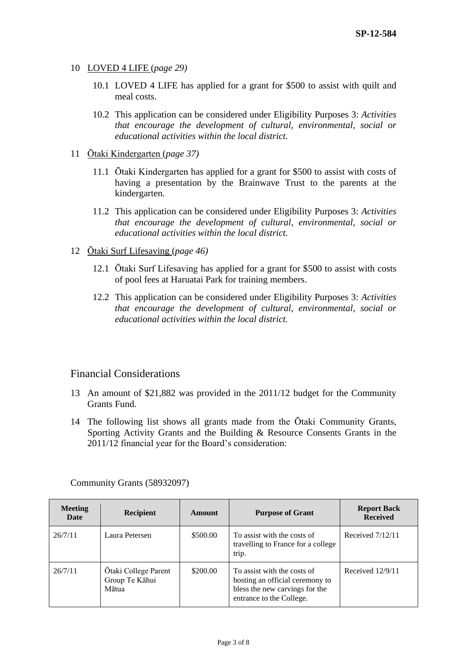- 10 LOVED 4 LIFE (*page 29)*
	- 10.1 LOVED 4 LIFE has applied for a grant for \$500 to assist with quilt and meal costs.
	- 10.2 This application can be considered under Eligibility Purposes 3: *Activities that encourage the development of cultural, environmental, social or educational activities within the local district.*
- 11 Ōtaki Kindergarten (*page 37)*
	- 11.1 Ōtaki Kindergarten has applied for a grant for \$500 to assist with costs of having a presentation by the Brainwave Trust to the parents at the kindergarten.
	- 11.2 This application can be considered under Eligibility Purposes 3: *Activities that encourage the development of cultural, environmental, social or educational activities within the local district.*
- 12 Ōtaki Surf Lifesaving (*page 46)*
	- 12.1 Ōtaki Surf Lifesaving has applied for a grant for \$500 to assist with costs of pool fees at Haruatai Park for training members.
	- 12.2 This application can be considered under Eligibility Purposes 3: *Activities that encourage the development of cultural, environmental, social or educational activities within the local district.*

### Financial Considerations

- 13 An amount of \$21,882 was provided in the 2011/12 budget for the Community Grants Fund.
- 14 The following list shows all grants made from the Ōtaki Community Grants, Sporting Activity Grants and the Building & Resource Consents Grants in the 2011/12 financial year for the Board's consideration:

| Meeting<br>Date | <b>Recipient</b>                                | Amount   | <b>Purpose of Grant</b>                                                                                                      | <b>Report Back</b><br><b>Received</b> |
|-----------------|-------------------------------------------------|----------|------------------------------------------------------------------------------------------------------------------------------|---------------------------------------|
| 26/7/11         | Laura Petersen                                  | \$500.00 | To assist with the costs of<br>travelling to France for a college<br>trip.                                                   | Received $7/12/11$                    |
| 26/7/11         | Otaki College Parent<br>Group Te Kāhui<br>Mātua | \$200.00 | To assist with the costs of<br>hosting an official ceremony to<br>bless the new carvings for the<br>entrance to the College. | Received $12/9/11$                    |

Community Grants (58932097)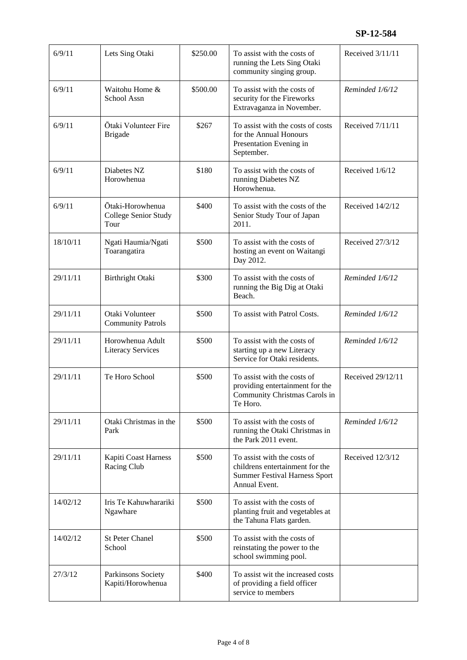| 6/9/11   | Lets Sing Otaki                                  | \$250.00 | To assist with the costs of<br>running the Lets Sing Otaki<br>community singing group.                                  | Received 3/11/11  |
|----------|--------------------------------------------------|----------|-------------------------------------------------------------------------------------------------------------------------|-------------------|
| 6/9/11   | Waitohu Home &<br>School Assn                    | \$500.00 | To assist with the costs of<br>security for the Fireworks<br>Extravaganza in November.                                  | Reminded 1/6/12   |
| 6/9/11   | Ōtaki Volunteer Fire<br><b>Brigade</b>           | \$267    | To assist with the costs of costs<br>for the Annual Honours<br>Presentation Evening in<br>September.                    | Received 7/11/11  |
| 6/9/11   | Diabetes NZ<br>Horowhenua                        | \$180    | To assist with the costs of<br>running Diabetes NZ<br>Horowhenua.                                                       | Received 1/6/12   |
| 6/9/11   | Ōtaki-Horowhenua<br>College Senior Study<br>Tour | \$400    | To assist with the costs of the<br>Senior Study Tour of Japan<br>2011.                                                  | Received 14/2/12  |
| 18/10/11 | Ngati Haumia/Ngati<br>Toarangatira               | \$500    | To assist with the costs of<br>hosting an event on Waitangi<br>Day 2012.                                                | Received 27/3/12  |
| 29/11/11 | Birthright Otaki                                 | \$300    | To assist with the costs of<br>running the Big Dig at Otaki<br>Beach.                                                   | Reminded 1/6/12   |
| 29/11/11 | Otaki Volunteer<br><b>Community Patrols</b>      | \$500    | To assist with Patrol Costs.                                                                                            | Reminded 1/6/12   |
| 29/11/11 | Horowhenua Adult<br><b>Literacy Services</b>     | \$500    | To assist with the costs of<br>starting up a new Literacy<br>Service for Otaki residents.                               | Reminded 1/6/12   |
| 29/11/11 | Te Horo School                                   | \$500    | To assist with the costs of<br>providing entertainment for the<br>Community Christmas Carols in<br>Te Horo.             | Received 29/12/11 |
| 29/11/11 | Otaki Christmas in the<br>Park                   | \$500    | To assist with the costs of<br>running the Otaki Christmas in<br>the Park 2011 event.                                   | Reminded 1/6/12   |
| 29/11/11 | Kapiti Coast Harness<br>Racing Club              | \$500    | To assist with the costs of<br>childrens entertainment for the<br><b>Summer Festival Harness Sport</b><br>Annual Event. | Received 12/3/12  |
| 14/02/12 | Iris Te Kahuwharariki<br>Ngawhare                | \$500    | To assist with the costs of<br>planting fruit and vegetables at<br>the Tahuna Flats garden.                             |                   |
| 14/02/12 | <b>St Peter Chanel</b><br>School                 | \$500    | To assist with the costs of<br>reinstating the power to the<br>school swimming pool.                                    |                   |
| 27/3/12  | Parkinsons Society<br>Kapiti/Horowhenua          | \$400    | To assist wit the increased costs<br>of providing a field officer<br>service to members                                 |                   |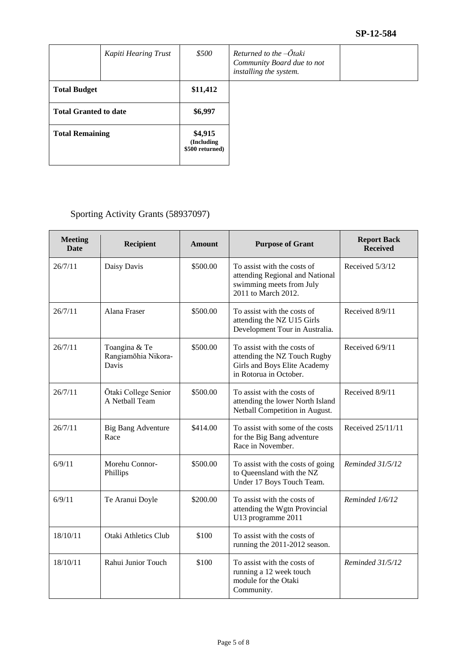### **SP-12-584**

|                              | Kapiti Hearing Trust | \$500                                     | Returned to the $-\bar{O}$ taki<br>Community Board due to not<br>installing the system. |
|------------------------------|----------------------|-------------------------------------------|-----------------------------------------------------------------------------------------|
| <b>Total Budget</b>          |                      | \$11,412                                  |                                                                                         |
| <b>Total Granted to date</b> |                      | \$6,997                                   |                                                                                         |
| <b>Total Remaining</b>       |                      | \$4,915<br>(Including)<br>\$500 returned) |                                                                                         |

# Sporting Activity Grants (58937097)

| <b>Meeting</b><br>Date | Recipient                                     | <b>Amount</b> | <b>Purpose of Grant</b>                                                                                               | <b>Report Back</b><br><b>Received</b> |
|------------------------|-----------------------------------------------|---------------|-----------------------------------------------------------------------------------------------------------------------|---------------------------------------|
| 26/7/11                | Daisy Davis                                   | \$500.00      | To assist with the costs of<br>attending Regional and National<br>swimming meets from July<br>2011 to March 2012.     | Received 5/3/12                       |
| 26/7/11                | Alana Fraser                                  | \$500.00      | To assist with the costs of<br>attending the NZ U15 Girls<br>Development Tour in Australia.                           | Received 8/9/11                       |
| 26/7/11                | Toangina & Te<br>Rangiamohia Nikora-<br>Davis | \$500.00      | To assist with the costs of<br>attending the NZ Touch Rugby<br>Girls and Boys Elite Academy<br>in Rotorua in October. | Received 6/9/11                       |
| 26/7/11                | Ōtaki College Senior<br>A Netball Team        | \$500.00      | To assist with the costs of<br>attending the lower North Island<br>Netball Competition in August.                     | Received 8/9/11                       |
| 26/7/11                | <b>Big Bang Adventure</b><br>Race             | \$414.00      | To assist with some of the costs<br>for the Big Bang adventure<br>Race in November.                                   | Received 25/11/11                     |
| 6/9/11                 | Morehu Connor-<br>Phillips                    | \$500.00      | To assist with the costs of going<br>to Queensland with the NZ<br>Under 17 Boys Touch Team.                           | Reminded 31/5/12                      |
| 6/9/11                 | Te Aranui Doyle                               | \$200.00      | To assist with the costs of<br>attending the Wgtn Provincial<br>U13 programme 2011                                    | Reminded 1/6/12                       |
| 18/10/11               | <b>Otaki Athletics Club</b>                   | \$100         | To assist with the costs of<br>running the 2011-2012 season.                                                          |                                       |
| 18/10/11               | Rahui Junior Touch                            | \$100         | To assist with the costs of<br>running a 12 week touch<br>module for the Otaki<br>Community.                          | Reminded 31/5/12                      |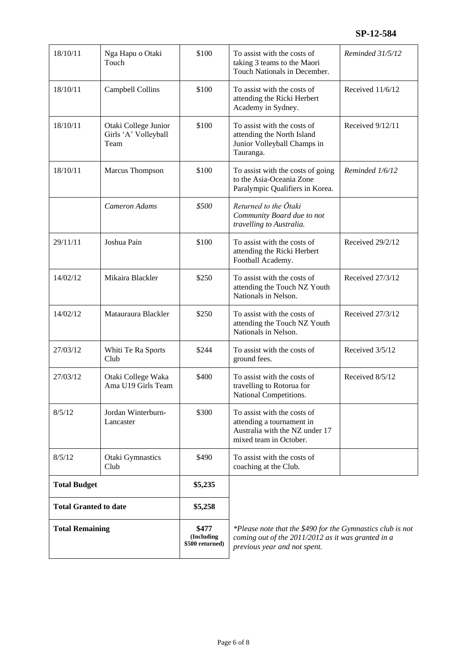| 18/10/11                     | Nga Hapu o Otaki<br>Touch                            | \$100                                  | To assist with the costs of<br>taking 3 teams to the Maori<br>Touch Nationals in December.                                                       | Reminded 31/5/12 |
|------------------------------|------------------------------------------------------|----------------------------------------|--------------------------------------------------------------------------------------------------------------------------------------------------|------------------|
| 18/10/11                     | Campbell Collins                                     | \$100                                  | To assist with the costs of<br>attending the Ricki Herbert<br>Academy in Sydney.                                                                 | Received 11/6/12 |
| 18/10/11                     | Otaki College Junior<br>Girls 'A' Volleyball<br>Team | \$100                                  | To assist with the costs of<br>attending the North Island<br>Junior Volleyball Champs in<br>Tauranga.                                            | Received 9/12/11 |
| 18/10/11                     | Marcus Thompson                                      | \$100                                  | To assist with the costs of going<br>to the Asia-Oceania Zone<br>Paralympic Qualifiers in Korea.                                                 | Reminded 1/6/12  |
|                              | <b>Cameron Adams</b>                                 | \$500                                  | Returned to the Otaki<br>Community Board due to not<br>travelling to Australia.                                                                  |                  |
| 29/11/11                     | Joshua Pain                                          | \$100                                  | To assist with the costs of<br>attending the Ricki Herbert<br>Football Academy.                                                                  | Received 29/2/12 |
| 14/02/12                     | Mikaira Blackler                                     | \$250                                  | To assist with the costs of<br>attending the Touch NZ Youth<br>Nationals in Nelson.                                                              | Received 27/3/12 |
| 14/02/12                     | Matauraura Blackler                                  | \$250                                  | To assist with the costs of<br>attending the Touch NZ Youth<br>Nationals in Nelson.                                                              | Received 27/3/12 |
| 27/03/12                     | Whiti Te Ra Sports<br>Club                           | \$244                                  | To assist with the costs of<br>ground fees.                                                                                                      | Received 3/5/12  |
| 27/03/12                     | Otaki College Waka<br>Ama U19 Girls Team             | \$400                                  | To assist with the costs of<br>travelling to Rotorua for<br>National Competitions.                                                               | Received 8/5/12  |
| 8/5/12                       | Jordan Winterburn-<br>Lancaster                      | \$300                                  | To assist with the costs of<br>attending a tournament in<br>Australia with the NZ under 17<br>mixed team in October.                             |                  |
| 8/5/12                       | Otaki Gymnastics<br>Club                             | \$490                                  | To assist with the costs of<br>coaching at the Club.                                                                                             |                  |
| <b>Total Budget</b>          |                                                      | \$5,235                                |                                                                                                                                                  |                  |
| <b>Total Granted to date</b> |                                                      | \$5,258                                |                                                                                                                                                  |                  |
| <b>Total Remaining</b>       |                                                      | \$477<br>(Including<br>\$500 returned) | *Please note that the \$490 for the Gymnastics club is not<br>coming out of the 2011/2012 as it was granted in a<br>previous year and not spent. |                  |
|                              |                                                      |                                        |                                                                                                                                                  |                  |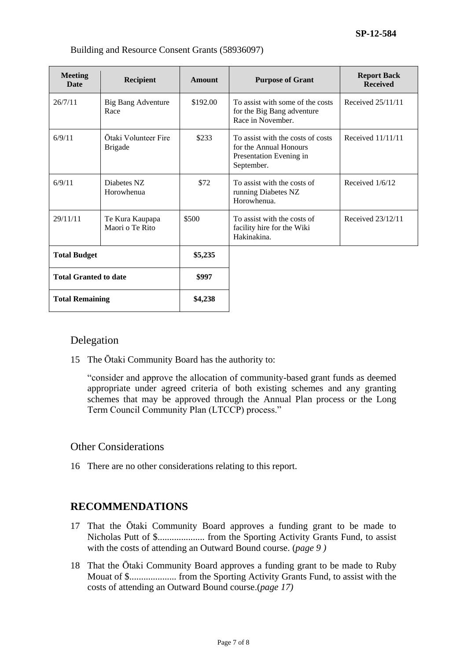| <b>Meeting</b><br><b>Date</b> | <b>Recipient</b>                       | Amount   | <b>Purpose of Grant</b>                                                                              | <b>Report Back</b><br><b>Received</b> |
|-------------------------------|----------------------------------------|----------|------------------------------------------------------------------------------------------------------|---------------------------------------|
| 26/7/11                       | <b>Big Bang Adventure</b><br>Race      | \$192.00 | To assist with some of the costs<br>for the Big Bang adventure<br>Race in November.                  | Received $25/11/11$                   |
| 6/9/11                        | Ōtaki Volunteer Fire<br><b>Brigade</b> | \$233    | To assist with the costs of costs<br>for the Annual Honours<br>Presentation Evening in<br>September. | Received 11/11/11                     |
| 6/9/11                        | Diabetes NZ<br>Horowhenua              | \$72     | To assist with the costs of<br>running Diabetes NZ<br>Horowhenua.                                    | Received $1/6/12$                     |
| 29/11/11                      | Te Kura Kaupapa<br>Maori o Te Rito     | \$500    | To assist with the costs of<br>facility hire for the Wiki<br>Hakinakina.                             | Received $23/12/11$                   |
| <b>Total Budget</b>           |                                        | \$5,235  |                                                                                                      |                                       |
| <b>Total Granted to date</b>  |                                        | \$997    |                                                                                                      |                                       |
| <b>Total Remaining</b>        |                                        | \$4,238  |                                                                                                      |                                       |

#### Building and Resource Consent Grants (58936097)

#### Delegation

15 The Ōtaki Community Board has the authority to:

"consider and approve the allocation of community-based grant funds as deemed appropriate under agreed criteria of both existing schemes and any granting schemes that may be approved through the Annual Plan process or the Long Term Council Community Plan (LTCCP) process."

#### Other Considerations

16 There are no other considerations relating to this report.

### **RECOMMENDATIONS**

- 17 That the Ōtaki Community Board approves a funding grant to be made to Nicholas Putt of \$.................... from the Sporting Activity Grants Fund, to assist with the costs of attending an Outward Bound course. (*page 9 )*
- 18 That the Ōtaki Community Board approves a funding grant to be made to Ruby Mouat of \$.................... from the Sporting Activity Grants Fund, to assist with the costs of attending an Outward Bound course.(*page 17)*